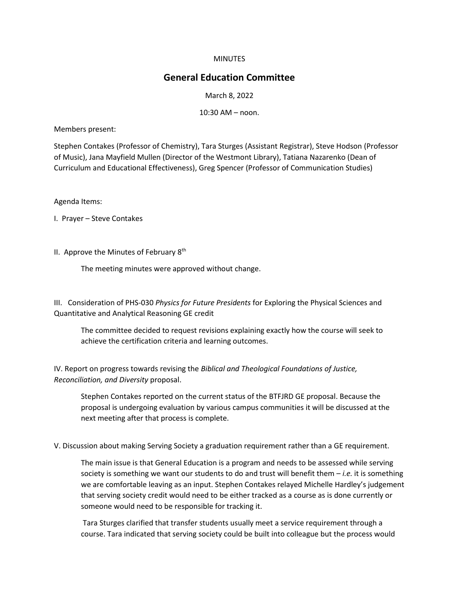## **MINUTES**

## **General Education Committee**

## March 8, 2022

10:30 AM – noon.

Members present:

Stephen Contakes (Professor of Chemistry), Tara Sturges (Assistant Registrar), Steve Hodson (Professor of Music), Jana Mayfield Mullen (Director of the Westmont Library), Tatiana Nazarenko (Dean of Curriculum and Educational Effectiveness), Greg Spencer (Professor of Communication Studies)

Agenda Items:

I. Prayer – Steve Contakes

II. Approve the Minutes of February 8<sup>th</sup>

The meeting minutes were approved without change.

III. Consideration of PHS-030 *Physics for Future Presidents* for Exploring the Physical Sciences and Quantitative and Analytical Reasoning GE credit

The committee decided to request revisions explaining exactly how the course will seek to achieve the certification criteria and learning outcomes.

IV. Report on progress towards revising the *Biblical and Theological Foundations of Justice, Reconciliation, and Diversity* proposal.

Stephen Contakes reported on the current status of the BTFJRD GE proposal. Because the proposal is undergoing evaluation by various campus communities it will be discussed at the next meeting after that process is complete.

V. Discussion about making Serving Society a graduation requirement rather than a GE requirement.

The main issue is that General Education is a program and needs to be assessed while serving society is something we want our students to do and trust will benefit them – *i.e.* it is something we are comfortable leaving as an input. Stephen Contakes relayed Michelle Hardley's judgement that serving society credit would need to be either tracked as a course as is done currently or someone would need to be responsible for tracking it.

Tara Sturges clarified that transfer students usually meet a service requirement through a course. Tara indicated that serving society could be built into colleague but the process would